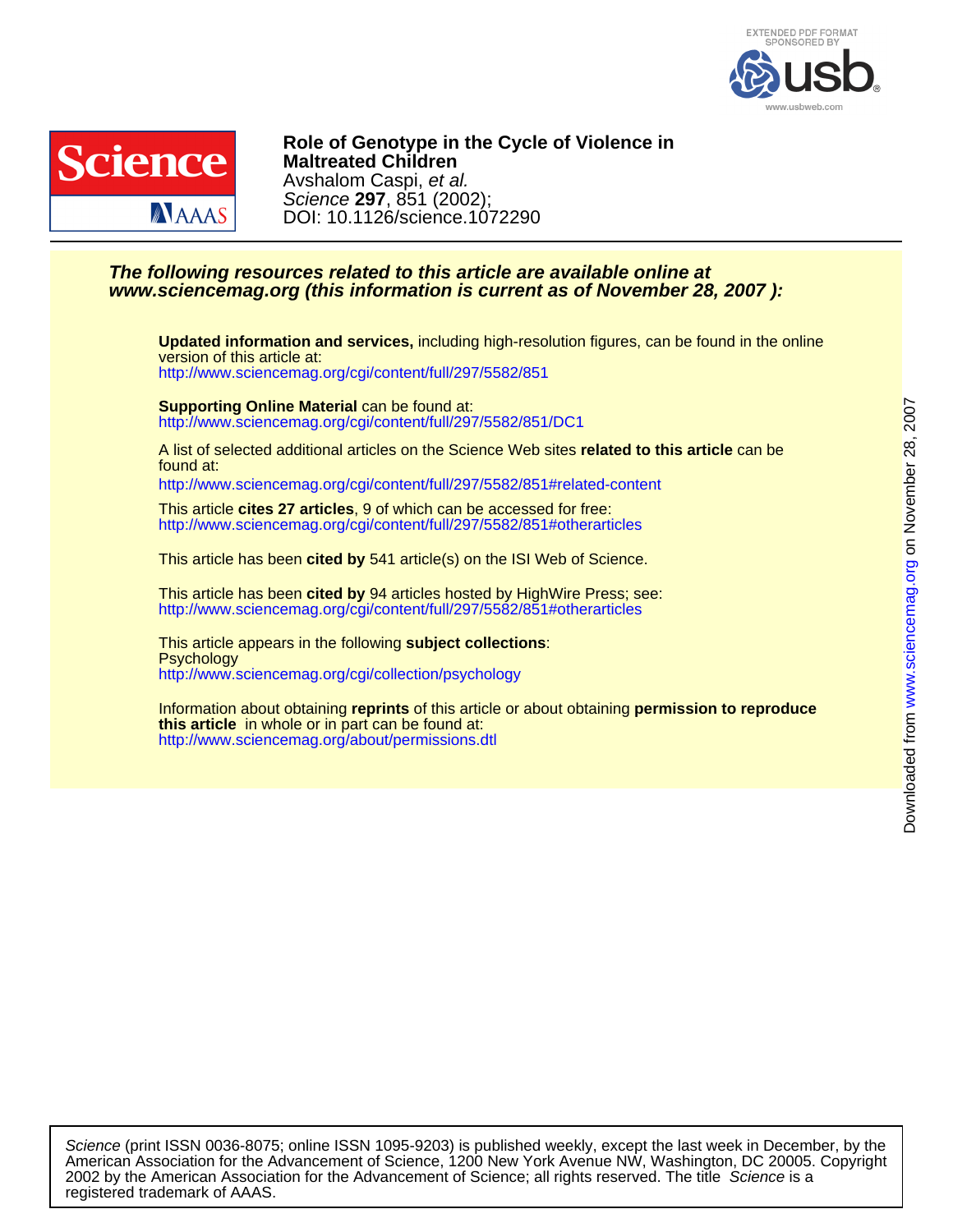



DOI: 10.1126/science.1072290 Science **297**, 851 (2002); Avshalom Caspi, et al. **Maltreated Children Role of Genotype in the Cycle of Violence in**

## **www.sciencemag.org (this information is current as of November 28, 2007 ): The following resources related to this article are available online at**

<http://www.sciencemag.org/cgi/content/full/297/5582/851> version of this article at: **Updated information and services,** including high-resolution figures, can be found in the online

<http://www.sciencemag.org/cgi/content/full/297/5582/851/DC1> **Supporting Online Material** can be found at:

found at: A list of selected additional articles on the Science Web sites **related to this article** can be

<http://www.sciencemag.org/cgi/content/full/297/5582/851#related-content>

<http://www.sciencemag.org/cgi/content/full/297/5582/851#otherarticles> This article **cites 27 articles**, 9 of which can be accessed for free:

This article has been **cited by** 541 article(s) on the ISI Web of Science.

<http://www.sciencemag.org/cgi/content/full/297/5582/851#otherarticles> This article has been **cited by** 94 articles hosted by HighWire Press; see:

<http://www.sciencemag.org/cgi/collection/psychology> **Psychology** This article appears in the following **subject collections**:

<http://www.sciencemag.org/about/permissions.dtl> **this article** in whole or in part can be found at: Information about obtaining **reprints** of this article or about obtaining **permission to reproduce**

registered trademark of AAAS. 2002 by the American Association for the Advancement of Science; all rights reserved. The title Science is a American Association for the Advancement of Science, 1200 New York Avenue NW, Washington, DC 20005. Copyright Science (print ISSN 0036-8075; online ISSN 1095-9203) is published weekly, except the last week in December, by the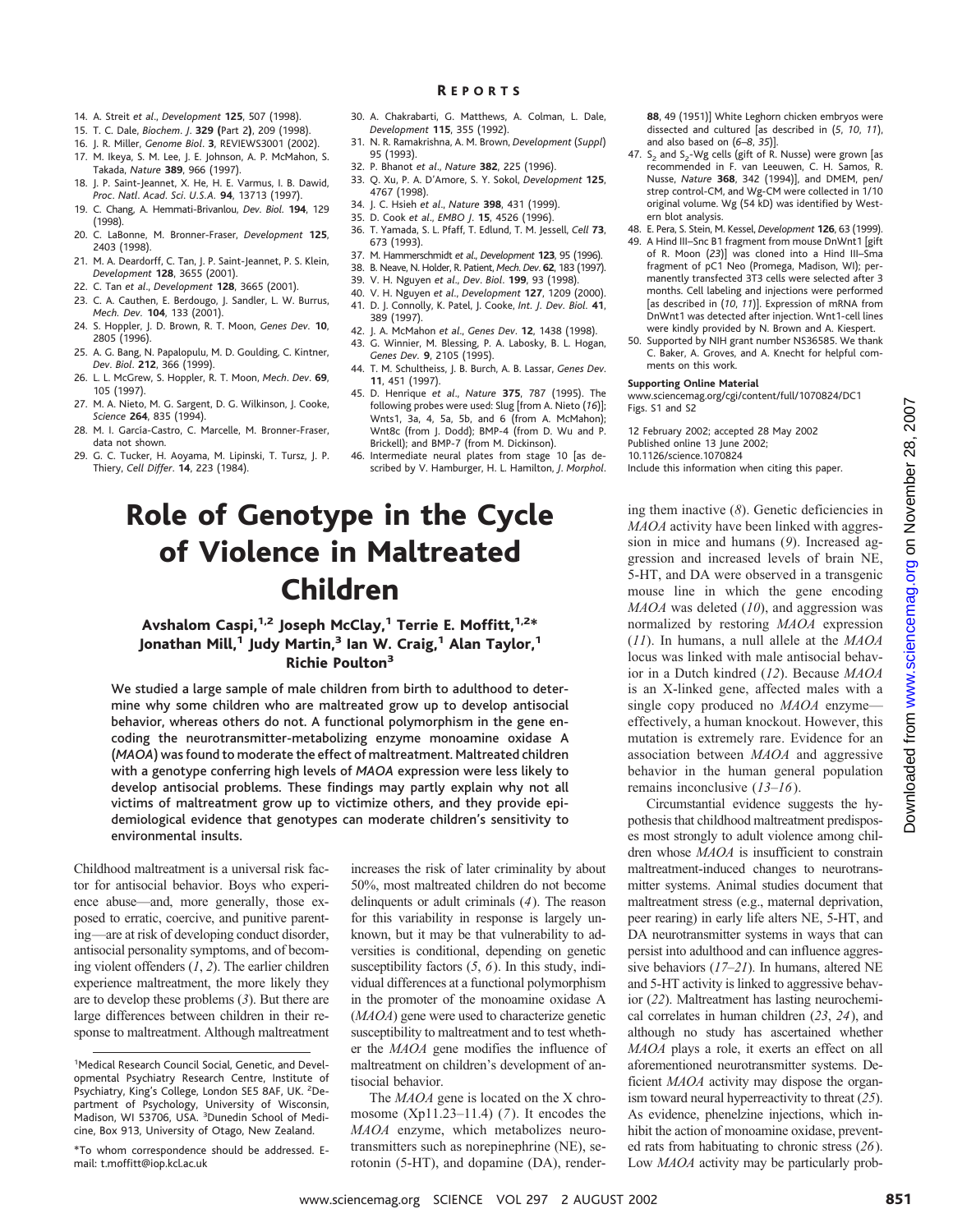- 14. A. Streit *et al*., *Development* **125**, 507 (1998).
- 15. T. C. Dale, *Biochem*. *J*. **329 (**Part 2**)**, 209 (1998).
- 16. J. R. Miller, *Genome Biol*. **3**, REVIEWS3001 (2002).
- 17. M. Ikeya, S. M. Lee, J. E. Johnson, A. P. McMahon, S. Takada, *Nature* **389**, 966 (1997).
- 18. J. P. Saint-Jeannet, X. He, H. E. Varmus, I. B. Dawid, *Proc*. *Natl*. *Acad*. *Sci*. *U.S.A.* **94**, 13713 (1997).
- 19. C. Chang, A. Hemmati-Brivanlou, *Dev*. *Biol*. **194**, 129 (1998).
- 20. C. LaBonne, M. Bronner-Fraser, *Development* **125**, 2403 (1998).
- 21. M. A. Deardorff, C. Tan, J. P. Saint-Jeannet, P. S. Klein, *Development* **128**, 3655 (2001).
- 22. C. Tan *et al*., *Development* **128**, 3665 (2001).
- 23. C. A. Cauthen, E. Berdougo, J. Sandler, L. W. Burrus, *Mech. Dev.* **104**, 133 (2001).
- 24. S. Hoppler, J. D. Brown, R. T. Moon, *Genes Dev.* **10**, 2805 (1996).
- 25. A. G. Bang, N. Papalopulu, M. D. Goulding, C. Kintner, *Dev*. *Biol*. **212**, 366 (1999).
- 26. L. L. McGrew, S. Hoppler, R. T. Moon, *Mech*. *Dev*. **69**, 105 (1997).
- 27. M. A. Nieto, M. G. Sargent, D. G. Wilkinson, J. Cooke, *Science* **264**, 835 (1994).
- 28. M. I. García-Castro, C. Marcelle, M. Bronner-Fraser, data not shown.
- 29. G. C. Tucker, H. Aoyama, M. Lipinski, T. Tursz, J. P. Thiery, *Cell Differ*. **14**, 223 (1984).
- 30. A. Chakrabarti, G. Matthews, A. Colman, L. Dale, R EPORTS
- *Development* **115**, 355 (1992).
- 31. N. R. Ramakrishna, A. M. Brown, *Development* (*Suppl*) 95 (1993).
- 32. P. Bhanot *et al*., *Nature* **382**, 225 (1996).
- 33. Q. Xu, P. A. D'Amore, S. Y. Sokol, *Development* **125**, 4767 (1998).
- 34. J. C. Hsieh *et al*., *Nature* **398**, 431 (1999).
- 35. D. Cook *et al*., *EMBO J*. **15**, 4526 (1996).
- 36. T. Yamada, S. L. Pfaff, T. Edlund, T. M. Jessell, *Cell* **73**, 673 (1993).
- 37. M. Hammerschmidt *et al*., *Development* **123**, 95 (1996).
- 38. B. Neave, N. Holder, R. Patient, *Mech*. *Dev*. **62**, 183 (1997).
- 39. V. H. Nguyen *et al*., *Dev*. *Biol*. **199**, 93 (1998).
- 40. V. H. Nguyen *et al*., *Development* **127**, 1209 (2000). 41. D. J. Connolly, K. Patel, J. Cooke, *Int. J. Dev. Biol.* **41**, 389 (1997).
- 42. J. A. McMahon *et al*., *Genes Dev*. **12**, 1438 (1998). 43. G. Winnier, M. Blessing, P. A. Labosky, B. L. Hogan,
- *Genes Dev.* **9**, 2105 (1995).
- 44. T. M. Schultheiss, J. B. Burch, A. B. Lassar, *Genes Dev*. **11**, 451 (1997).
- 45. D. Henrique *et al*., *Nature* **375**, 787 (1995). The following probes were used: Slug [from A. Nieto (*16*)]; Wnts1, 3a, 4, 5a, 5b, and 6 (from A. McMahon); Wnt8c (from J. Dodd); BMP-4 (from D. Wu and P. Brickell); and BMP-7 (from M. Dickinson).
- 46. Intermediate neural plates from stage 10 [as described by V. Hamburger, H. L. Hamilton, *J*. *Morphol*.

# Role of Genotype in the Cycle of Violence in Maltreated Children

## Avshalom Caspi,<sup>1,2</sup> Joseph McClay,<sup>1</sup> Terrie E. Moffitt,<sup>1,2\*</sup> Jonathan Mill,<sup>1</sup> Judy Martin,<sup>3</sup> Ian W. Craig,<sup>1</sup> Alan Taylor,<sup>1</sup> Richie Poulton3

We studied a large sample of male children from birth to adulthood to determine why some children who are maltreated grow up to develop antisocial behavior, whereas others do not. A functional polymorphism in the gene encoding the neurotransmitter-metabolizing enzyme monoamine oxidase A (*MAOA*) was found to moderate the effect of maltreatment. Maltreated children with a genotype conferring high levels of *MAOA* expression were less likely to develop antisocial problems. These findings may partly explain why not all victims of maltreatment grow up to victimize others, and they provide epidemiological evidence that genotypes can moderate children's sensitivity to environmental insults.

Childhood maltreatment is a universal risk factor for antisocial behavior. Boys who experience abuse—and, more generally, those exposed to erratic, coercive, and punitive parenting—are at risk of developing conduct disorder, antisocial personality symptoms, and of becoming violent offenders (*1*, *2*). The earlier children experience maltreatment, the more likely they are to develop these problems (*3*). But there are large differences between children in their response to maltreatment. Although maltreatment

increases the risk of later criminality by about 50%, most maltreated children do not become delinquents or adult criminals (*4*). The reason for this variability in response is largely unknown, but it may be that vulnerability to adversities is conditional, depending on genetic susceptibility factors (*5*, *6*). In this study, individual differences at a functional polymorphism in the promoter of the monoamine oxidase A (*MAOA*) gene were used to characterize genetic susceptibility to maltreatment and to test whether the *MAOA* gene modifies the influence of maltreatment on children's development of antisocial behavior.

The *MAOA* gene is located on the X chromosome (Xp11.23–11.4) (*7*). It encodes the *MAOA* enzyme, which metabolizes neurotransmitters such as norepinephrine (NE), serotonin (5-HT), and dopamine (DA), render**88**, 49 (1951)] White Leghorn chicken embryos were dissected and cultured [as described in (*5*, *10*, *11*), and also based on (*6*–*8*, *35*)].

- 47.  $S_2$  and  $S_2$ -Wg cells (gift of R. Nusse) were grown [as recommended in F. van Leeuwen, C. H. Samos, R. Nusse, *Nature* **368**, 342 (1994)], and DMEM, pen/ strep control-CM, and Wg-CM were collected in 1/10 original volume. Wg (54 kD) was identified by Western blot analysis.
- 48. E. Pera, S. Stein, M. Kessel, *Development* **126**, 63 (1999).
- 49. A Hind III–Snc B1 fragment from mouse DnWnt1 [gift of R. Moon (*23*)] was cloned into a Hind III–Sma fragment of pC1 Neo (Promega, Madison, WI); permanently transfected 3T3 cells were selected after 3 months. Cell labeling and injections were performed [as described in (*10*, *11*)]. Expression of mRNA from DnWnt1 was detected after injection. Wnt1-cell lines were kindly provided by N. Brown and A. Kiespert.
- 50. Supported by NIH grant number NS36585. We thank C. Baker, A. Groves, and A. Knecht for helpful comments on this work.

#### **Supporting Online Material**

www.sciencemag.org/cgi/content/full/1070824/DC1 Figs. S1 and S2

12 February 2002; accepted 28 May 2002 Published online 13 June 2002: 10.1126/science.1070824 Include this information when citing this paper.

ing them inactive (*8*). Genetic deficiencies in *MAOA* activity have been linked with aggression in mice and humans (*9*). Increased aggression and increased levels of brain NE, 5-HT, and DA were observed in a transgenic mouse line in which the gene encoding *MAOA* was deleted (*10*), and aggression was normalized by restoring *MAOA* expression (*11*). In humans, a null allele at the *MAOA* locus was linked with male antisocial behavior in a Dutch kindred (*12*). Because *MAOA* is an X-linked gene, affected males with a single copy produced no *MAOA* enzyme effectively, a human knockout. However, this mutation is extremely rare. Evidence for an association between *MAOA* and aggressive behavior in the human general population remains inconclusive (*13*–*16*).

Circumstantial evidence suggests the hypothesis that childhood maltreatment predisposes most strongly to adult violence among children whose *MAOA* is insufficient to constrain maltreatment-induced changes to neurotransmitter systems. Animal studies document that maltreatment stress (e.g., maternal deprivation, peer rearing) in early life alters NE, 5-HT, and DA neurotransmitter systems in ways that can persist into adulthood and can influence aggressive behaviors (*17*–*21*). In humans, altered NE and 5-HT activity is linked to aggressive behavior (*22*). Maltreatment has lasting neurochemical correlates in human children (*23*, *24*), and although no study has ascertained whether *MAOA* plays a role, it exerts an effect on all aforementioned neurotransmitter systems. Deficient *MAOA* activity may dispose the organism toward neural hyperreactivity to threat (*25*). As evidence, phenelzine injections, which inhibit the action of monoamine oxidase, prevented rats from habituating to chronic stress (*26*). Low *MAOA* activity may be particularly probCode[www.sciencemag.org](http://www.sciencemag.org) Science with the measure of the contents of the state of the state of the state of the state of the state of the state of the state of the state of the state of the state of the state of the state

<sup>&</sup>lt;sup>1</sup>Medical Research Council Social, Genetic, and Developmental Psychiatry Research Centre, Institute of Psychiatry, King's College, London SE5 8AF, UK. <sup>2</sup>Department of Psychology, University of Wisconsin, Madison, WI 53706, USA. <sup>3</sup>Dunedin School of Medicine, Box 913, University of Otago, New Zealand.

<sup>\*</sup>To whom correspondence should be addressed. Email: t.moffitt@iop.kcl.ac.uk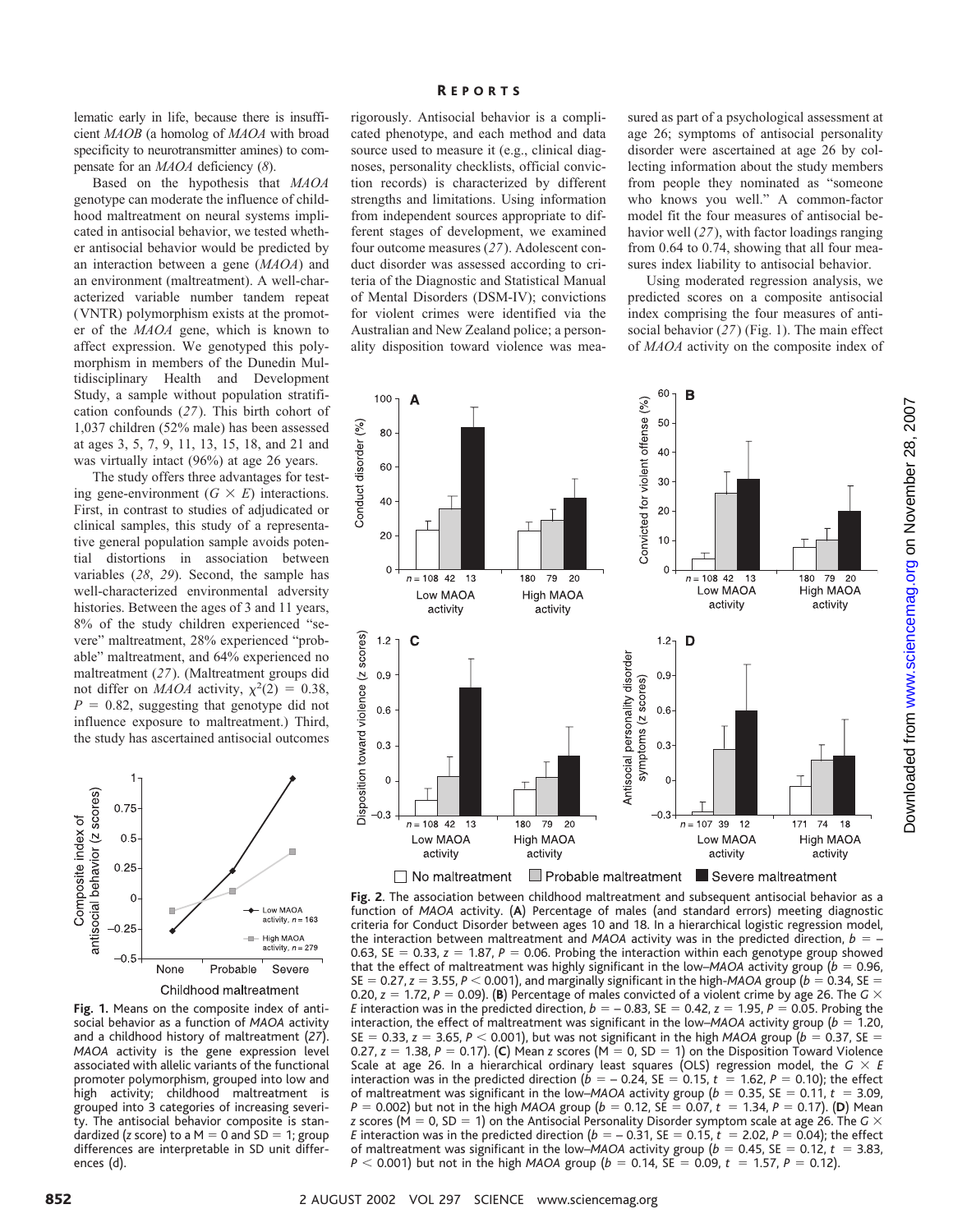lematic early in life, because there is insufficient *MAOB* (a homolog of *MAOA* with broad specificity to neurotransmitter amines) to compensate for an *MAOA* deficiency (*8*).

Based on the hypothesis that *MAOA* genotype can moderate the influence of childhood maltreatment on neural systems implicated in antisocial behavior, we tested whether antisocial behavior would be predicted by an interaction between a gene (*MAOA*) and an environment (maltreatment). A well-characterized variable number tandem repeat (VNTR) polymorphism exists at the promoter of the *MAOA* gene, which is known to affect expression. We genotyped this polymorphism in members of the Dunedin Multidisciplinary Health and Development Study, a sample without population stratification confounds (*27*). This birth cohort of 1,037 children (52% male) has been assessed at ages 3, 5, 7, 9, 11, 13, 15, 18, and 21 and was virtually intact (96%) at age 26 years.

The study offers three advantages for testing gene-environment  $(G \times E)$  interactions. First, in contrast to studies of adjudicated or clinical samples, this study of a representative general population sample avoids potential distortions in association between variables (*28*, *29*). Second, the sample has well-characterized environmental adversity histories. Between the ages of 3 and 11 years, 8% of the study children experienced "severe" maltreatment, 28% experienced "probable" maltreatment, and 64% experienced no maltreatment (*27*). (Maltreatment groups did not differ on *MAOA* activity,  $\chi^2(2) = 0.38$ ,  $P = 0.82$ , suggesting that genotype did not influence exposure to maltreatment.) Third, the study has ascertained antisocial outcomes



**Fig. 1.** Means on the composite index of antisocial behavior as a function of *MAOA* activity and a childhood history of maltreatment (*27*). *MAOA* activity is the gene expression level associated with allelic variants of the functional promoter polymorphism, grouped into low and high activity; childhood maltreatment is grouped into 3 categories of increasing severity. The antisocial behavior composite is standardized (*z* score) to a  $M = 0$  and  $SD = 1$ ; group differences are interpretable in SD unit differences (d).

#### R EPORTS

rigorously. Antisocial behavior is a complicated phenotype, and each method and data source used to measure it (e.g., clinical diagnoses, personality checklists, official conviction records) is characterized by different strengths and limitations. Using information from independent sources appropriate to different stages of development, we examined four outcome measures (*27*). Adolescent conduct disorder was assessed according to criteria of the Diagnostic and Statistical Manual of Mental Disorders (DSM-IV); convictions for violent crimes were identified via the Australian and New Zealand police; a personality disposition toward violence was mea-

sured as part of a psychological assessment at age 26; symptoms of antisocial personality disorder were ascertained at age 26 by collecting information about the study members from people they nominated as "someone who knows you well." A common-factor model fit the four measures of antisocial behavior well (*27*), with factor loadings ranging from 0.64 to 0.74, showing that all four measures index liability to antisocial behavior.

Using moderated regression analysis, we predicted scores on a composite antisocial index comprising the four measures of antisocial behavior (*27*) (Fig. 1). The main effect of *MAOA* activity on the composite index of



**Fig. 2**. The association between childhood maltreatment and subsequent antisocial behavior as a function of *MAOA* activity. (**A**) Percentage of males (and standard errors) meeting diagnostic criteria for Conduct Disorder between ages 10 and 18. In a hierarchical logistic regression model, the interaction between maltreatment and *MAOA* activity was in the predicted direction,  $b = -$ 0.63, SE = 0.33,  $z = 1.87$ ,  $P = 0.06$ . Probing the interaction within each genotype group showed that the effect of maltreatment was highly significant in the low–*MAOA* activity group ( $b = 0.96$ , SE = 0.27,  $z = 3.55$ ,  $P < 0.001$ ), and marginally significant in the high-*MAOA* group ( $b = 0.34$ , SE = 0.20,  $z = 1.72$ ,  $P = 0.09$ . (**B**) Percentage of males convicted of a violent crime by age 26. The *G*  $\times$ *E* interaction was in the predicted direction,  $b = -0.83$ , SE = 0.42,  $z = 1.95$ ,  $P = 0.05$ . Probing the interaction, the effect of maltreatment was significant in the low–*MAOA* activity group ( $b = 1.20$ , SE  $= 0.33$ ,  $z = 3.65$ ,  $P < 0.001$ ), but was not significant in the high *MAOA* group ( $b = 0.37$ , SE  $=$ 0.27,  $z = 1.38$ ,  $P = 0.17$ ). (C) Mean *z* scores (M = 0, SD = 1) on the Disposition Toward Violence Scale at age 26. In a hierarchical ordinary least squares (OLS) regression model, the *G E* interaction was in the predicted direction ( $b = -0.24$ , SE = 0.15,  $t = 1.62$ ,  $P = 0.10$ ); the effect of maltreatment was significant in the low–MAOA activity group ( $b = 0.35$ , SE  $= 0.11$ ,  $t = 3.09$ ,  $P = 0.002$ ) but not in the high *MAOA* group ( $b = 0.12$ , SE  $= 0.07, \, t = 1.34, \, P = 0.17$ ). (**D**) Mean *z* scores ( $M = 0$ , SD = 1) on the Antisocial Personality Disorder symptom scale at age 26. The *G*  $\times$ *E* interaction was in the predicted direction ( $b = -0.31$ , SE = 0.15,  $t = 2.02$ ,  $P = 0.04$ ); the effect of maltreatment was significant in the low–*MAOA* activity group ( $b = 0.45$ , SE = 0.12,  $t = 3.83$ ,  $P$  < 0.001) but not in the high *MAOA* group (*b* = 0.14, SE = 0.09, *t* = 1.57, *P* = 0.12).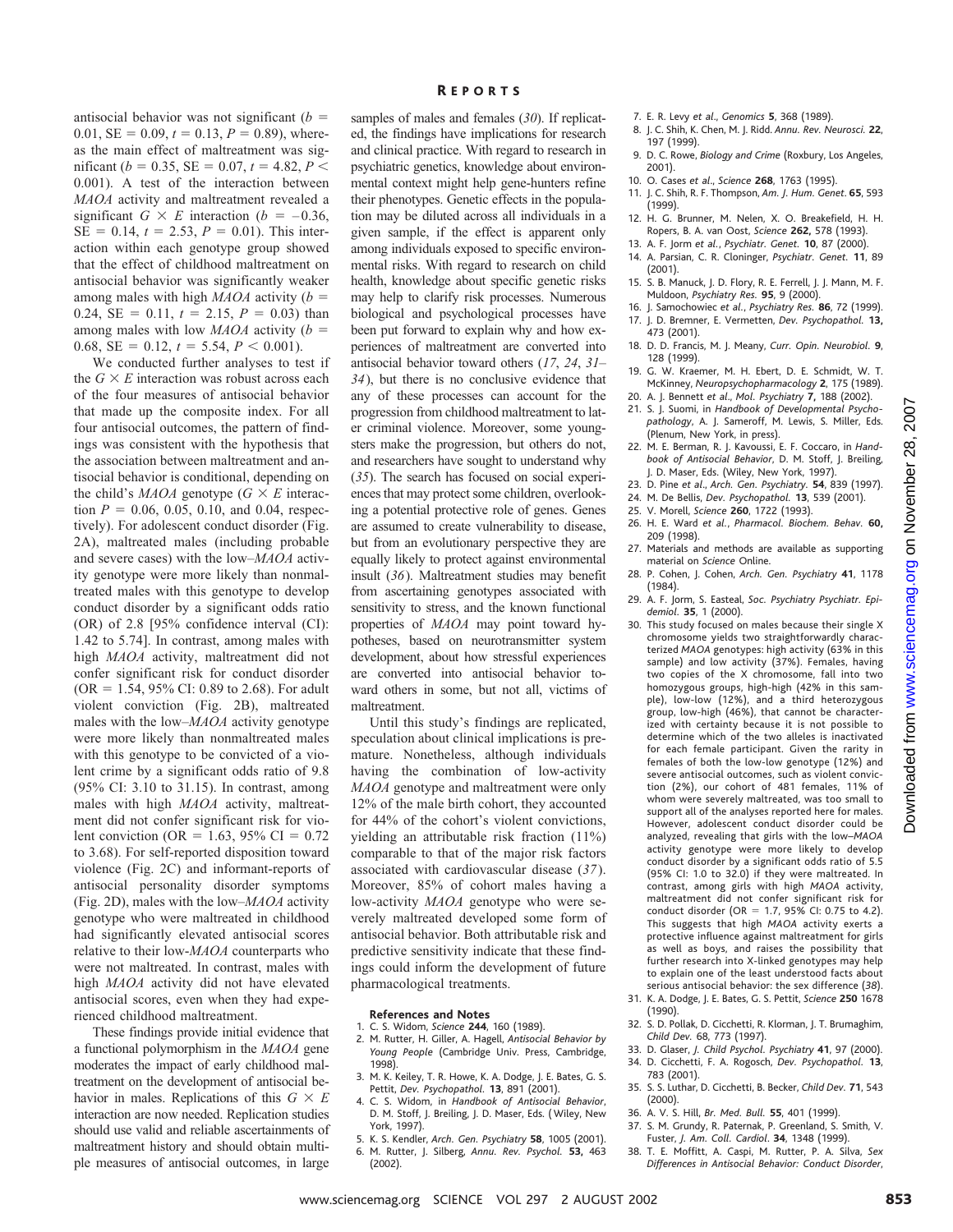antisocial behavior was not significant (*b* 0.01,  $SE = 0.09$ ,  $t = 0.13$ ,  $P = 0.89$ ), whereas the main effect of maltreatment was significant ( $b = 0.35$ , SE = 0.07,  $t = 4.82$ ,  $P \le$ 0.001). A test of the interaction between *MAOA* activity and maltreatment revealed a significant  $G \times E$  interaction ( $b = -0.36$ ,  $SE = 0.14$ ,  $t = 2.53$ ,  $P = 0.01$ ). This interaction within each genotype group showed that the effect of childhood maltreatment on antisocial behavior was significantly weaker among males with high *MAOA* activity (*b* 0.24,  $SE = 0.11$ ,  $t = 2.15$ ,  $P = 0.03$ ) than among males with low *MAOA* activity (*b* 0.68,  $SE = 0.12$ ,  $t = 5.54$ ,  $P < 0.001$ ).

We conducted further analyses to test if the  $G \times E$  interaction was robust across each of the four measures of antisocial behavior that made up the composite index. For all four antisocial outcomes, the pattern of findings was consistent with the hypothesis that the association between maltreatment and antisocial behavior is conditional, depending on the child's *MAOA* genotype ( $G \times E$  interaction  $P = 0.06, 0.05, 0.10,$  and 0.04, respectively). For adolescent conduct disorder (Fig. 2A), maltreated males (including probable and severe cases) with the low–*MAOA* activity genotype were more likely than nonmaltreated males with this genotype to develop conduct disorder by a significant odds ratio (OR) of 2.8 [95% confidence interval (CI): 1.42 to 5.74]. In contrast, among males with high *MAOA* activity, maltreatment did not confer significant risk for conduct disorder  $(OR = 1.54, 95\% \text{ CI: } 0.89 \text{ to } 2.68)$ . For adult violent conviction (Fig. 2B), maltreated males with the low–*MAOA* activity genotype were more likely than nonmaltreated males with this genotype to be convicted of a violent crime by a significant odds ratio of 9.8 (95% CI: 3.10 to 31.15). In contrast, among males with high *MAOA* activity, maltreatment did not confer significant risk for violent conviction (OR = 1.63, 95% CI = 0.72 to 3.68). For self-reported disposition toward violence (Fig. 2C) and informant-reports of antisocial personality disorder symptoms (Fig. 2D), males with the low–*MAOA* activity genotype who were maltreated in childhood had significantly elevated antisocial scores relative to their low-*MAOA* counterparts who were not maltreated. In contrast, males with high *MAOA* activity did not have elevated antisocial scores, even when they had experienced childhood maltreatment.

These findings provide initial evidence that a functional polymorphism in the *MAOA* gene moderates the impact of early childhood maltreatment on the development of antisocial behavior in males. Replications of this  $G \times E$ interaction are now needed. Replication studies should use valid and reliable ascertainments of maltreatment history and should obtain multiple measures of antisocial outcomes, in large

#### R EPORTS

samples of males and females (*30*). If replicated, the findings have implications for research and clinical practice. With regard to research in psychiatric genetics, knowledge about environmental context might help gene-hunters refine their phenotypes. Genetic effects in the population may be diluted across all individuals in a given sample, if the effect is apparent only among individuals exposed to specific environmental risks. With regard to research on child health, knowledge about specific genetic risks may help to clarify risk processes. Numerous biological and psychological processes have been put forward to explain why and how experiences of maltreatment are converted into antisocial behavior toward others (*17*, *24*, *31*– *34*), but there is no conclusive evidence that any of these processes can account for the progression from childhood maltreatment to later criminal violence. Moreover, some youngsters make the progression, but others do not, and researchers have sought to understand why (*35*). The search has focused on social experiences that may protect some children, overlooking a potential protective role of genes. Genes are assumed to create vulnerability to disease, but from an evolutionary perspective they are equally likely to protect against environmental insult (*36*). Maltreatment studies may benefit from ascertaining genotypes associated with sensitivity to stress, and the known functional properties of *MAOA* may point toward hypotheses, based on neurotransmitter system development, about how stressful experiences are converted into antisocial behavior toward others in some, but not all, victims of maltreatment.

Until this study's findings are replicated, speculation about clinical implications is premature. Nonetheless, although individuals having the combination of low-activity *MAOA* genotype and maltreatment were only 12% of the male birth cohort, they accounted for 44% of the cohort's violent convictions, yielding an attributable risk fraction (11%) comparable to that of the major risk factors associated with cardiovascular disease (*37*). Moreover, 85% of cohort males having a low-activity *MAOA* genotype who were severely maltreated developed some form of antisocial behavior. Both attributable risk and predictive sensitivity indicate that these findings could inform the development of future pharmacological treatments.

#### **References and Notes**

- 1. C. S. Widom, *Science* **244**, 160 (1989).
- 2. M. Rutter, H. Giller, A. Hagell, *Antisocial Behavior by Young People* (Cambridge Univ. Press, Cambridge, 1998).
- 3. M. K. Keiley, T. R. Howe, K. A. Dodge, J. E. Bates, G. S. Pettit, *Dev. Psychopathol.* **13**, 891 (2001).
- 4. C. S. Widom, in *Handbook of Antisocial Behavior*, D. M. Stoff, J. Breiling, J. D. Maser, Eds. ( Wiley, New York, 1997).
- 5. K. S. Kendler, *Arch. Gen. Psychiatry* **58**, 1005 (2001). 6. M. Rutter, J. Silberg, *Annu. Rev. Psychol.* **53,** 463
- (2002).
- 7. E. R. Levy *et al*., *Genomics* **5**, 368 (1989).
- 8. J. C. Shih, K. Chen, M. J. Ridd. *Annu. Rev. Neurosci.* **22**, 197 (1999).
- 9. D. C. Rowe, *Biology and Crime* (Roxbury, Los Angeles, 2001).
- 10. O. Cases *et al*., *Science* **268**, 1763 (1995).
- 11. J. C. Shih, R. F. Thompson, *Am. J. Hum. Genet*. **65**, 593 (1999).
- 12. H. G. Brunner, M. Nelen, X. O. Breakefield, H. H. Ropers, B. A. van Oost, *Science* **262,** 578 (1993).
- 13. A. F. Jorm *et al.*, *Psychiatr. Genet.* **10**, 87 (2000).
- 14. A. Parsian, C. R. Cloninger, *Psychiatr. Genet.* **11**, 89 (2001).
- 15. S. B. Manuck, J. D. Flory, R. E. Ferrell, J. J. Mann, M. F. Muldoon, *Psychiatry Res.* **95**, 9 (2000).
- 16. J. Samochowiec *et al.*, *Psychiatry Res.* **86**, 72 (1999). 17. J. D. Bremner, E. Vermetten, *Dev. Psychopathol.* **13,**
- .<br>473 (2001). 18. D. D. Francis, M. J. Meany, *Curr. Opin. Neurobiol.* **9**,
- 128 (1999).
- 19. G. W. Kraemer, M. H. Ebert, D. E. Schmidt, W. T. McKinney, *Neuropsychopharmacology* **2**, 175 (1989).
- 20. A. J. Bennett *et al*., *Mol. Psychiatry* **7,** 188 (2002). 21. S. J. Suomi, in *Handbook of Developmental Psycho-*
- *pathology*, A. J. Sameroff, M. Lewis, S. Miller, Eds. (Plenum, New York, in press).
- 22. M. E. Berman, R. J. Kavoussi, E. F. Coccaro, in *Handbook of Antisocial Behavior*, D. M. Stoff, J. Breiling, J. D. Maser, Eds. (Wiley, New York, 1997).
- 23. D. Pine *et al*., *Arch. Gen. Psychiatry.* **54**, 839 (1997).
- 24. M. De Bellis, *Dev. Psychopathol.* **13**, 539 (2001).
- 25. V. Morell, *Science* **260**, 1722 (1993).
- 26. H. E. Ward *et al.*, *Pharmacol. Biochem. Behav.* **60,** 209 (1998).
- 27. Materials and methods are available as supporting material on *Science* Online.
- 28. P. Cohen, J. Cohen, *Arch. Gen. Psychiatry* **41**, 1178 (1984).
- 29. A. F. Jorm, S. Easteal, *Soc. Psychiatry Psychiatr. Epidemiol.* **35**, 1 (2000).
- 30. This study focused on males because their single X chromosome yields two straightforwardly characterized *MAOA* genotypes: high activity (63% in this sample) and low activity (37%). Females, having two copies of the X chromosome, fall into two homozygous groups, high-high (42% in this sample), low-low (12%), and a third heterozygous group, low-high (46%), that cannot be characterized with certainty because it is not possible to determine which of the two alleles is inactivated for each female participant. Given the rarity in females of both the low-low genotype (12%) and severe antisocial outcomes, such as violent conviction (2%), our cohort of 481 females, 11% of whom were severely maltreated, was too small to support all of the analyses reported here for males. However, adolescent conduct disorder could be analyzed, revealing that girls with the low–*MAOA* activity genotype were more likely to develop conduct disorder by a significant odds ratio of 5.5 (95% CI: 1.0 to 32.0) if they were maltreated. In contrast, among girls with high *MAOA* activity, maltreatment did not confer significant risk for conduct disorder (OR = 1.7, 95% CI: 0.75 to 4.2). This suggests that high *MAOA* activity exerts a protective influence against maltreatment for girls as well as boys, and raises the possibility that further research into X-linked genotypes may help to explain one of the least understood facts about serious antisocial behavior: the sex difference (*38*). whenthe measure of the measure of the measure of the set of the set of the set of the set of the set of the set of the set of the set of the set of the set of the set of the set of the set of the set of the set of the se
	- 31. K. A. Dodge, J. E. Bates, G. S. Pettit, *Science* **250** 1678 (1990).
	- 32. S. D. Pollak, D. Cicchetti, R. Klorman, J. T. Brumaghim, *Child Dev.* 68, 773 (1997).
	- 33. D. Glaser, *J. Child Psychol. Psychiatry* **41**, 97 (2000). 34. D. Cicchetti, F. A. Rogosch, *Dev. Psychopathol.* **13**, 783 (2001).
	- 35. S. S. Luthar, D. Cicchetti, B. Becker, *Child Dev.* **71**, 543 (2000).
	- 36. A. V. S. Hill, *Br. Med. Bull.* **55**, 401 (1999).
	- 37. S. M. Grundy, R. Paternak, P. Greenland, S. Smith, V. Fuster, *J. Am. Coll. Cardiol*. **34**, 1348 (1999).
	- 38. T. E. Moffitt, A. Caspi, M. Rutter, P. A. Silva, *Sex Differences in Antisocial Behavior: Conduct Disorder*,